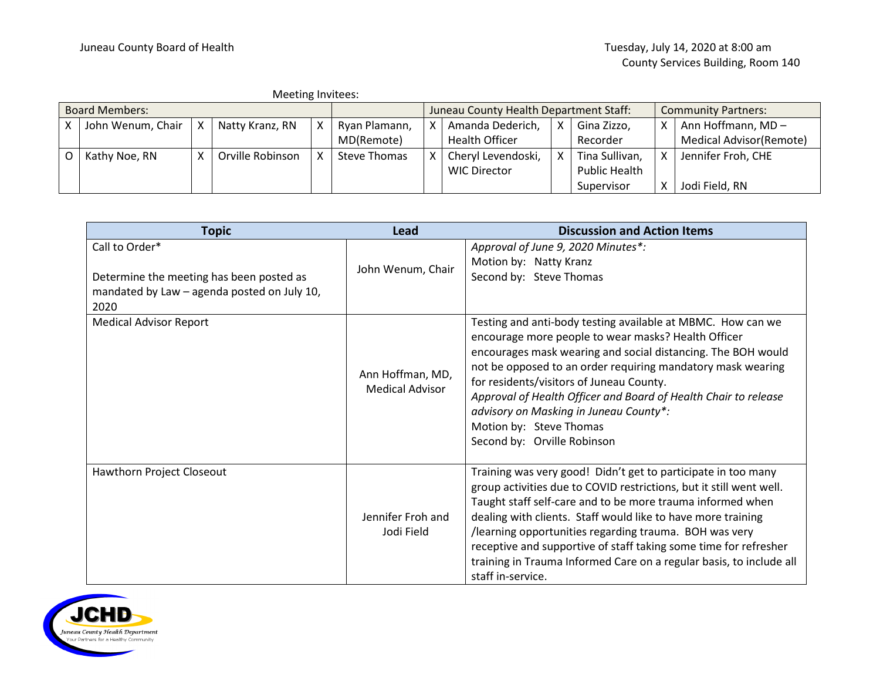|                       | Meeting Invitees:   |   |                  |  |                                        |  |                       |   |                            |   |                          |
|-----------------------|---------------------|---|------------------|--|----------------------------------------|--|-----------------------|---|----------------------------|---|--------------------------|
| <b>Board Members:</b> |                     |   |                  |  | Juneau County Health Department Staff: |  |                       |   | <b>Community Partners:</b> |   |                          |
|                       | John Wenum, Chair X |   | Natty Kranz, RN  |  | Ryan Plamann,                          |  | Amanda Dederich,      | χ | Gina Zizzo,                | X | Ann Hoffmann, MD-        |
|                       |                     |   |                  |  | MD(Remote)                             |  | <b>Health Officer</b> |   | Recorder                   |   | Medical Advisor (Remote) |
|                       | Kathy Noe, RN       | x | Orville Robinson |  | <b>Steve Thomas</b>                    |  | Cheryl Levendoski,    |   | Tina Sullivan,             | X | Jennifer Froh, CHE       |
|                       |                     |   |                  |  |                                        |  | <b>WIC Director</b>   |   | Public Health              |   |                          |
|                       |                     |   |                  |  |                                        |  |                       |   | Supervisor                 |   | Jodi Field, RN           |

| <b>Topic</b>                                                                                              | Lead                                       | <b>Discussion and Action Items</b>                                                                                                                                                                                                                                                                                                                                                                                                                                                           |  |  |
|-----------------------------------------------------------------------------------------------------------|--------------------------------------------|----------------------------------------------------------------------------------------------------------------------------------------------------------------------------------------------------------------------------------------------------------------------------------------------------------------------------------------------------------------------------------------------------------------------------------------------------------------------------------------------|--|--|
| Call to Order*<br>Determine the meeting has been posted as<br>mandated by Law - agenda posted on July 10, | John Wenum, Chair                          | Approval of June 9, 2020 Minutes*:<br>Motion by: Natty Kranz<br>Second by: Steve Thomas                                                                                                                                                                                                                                                                                                                                                                                                      |  |  |
| 2020<br><b>Medical Advisor Report</b>                                                                     | Ann Hoffman, MD,<br><b>Medical Advisor</b> | Testing and anti-body testing available at MBMC. How can we<br>encourage more people to wear masks? Health Officer<br>encourages mask wearing and social distancing. The BOH would<br>not be opposed to an order requiring mandatory mask wearing<br>for residents/visitors of Juneau County.<br>Approval of Health Officer and Board of Health Chair to release<br>advisory on Masking in Juneau County*:<br>Motion by: Steve Thomas<br>Second by: Orville Robinson                         |  |  |
| Hawthorn Project Closeout                                                                                 | Jennifer Froh and<br>Jodi Field            | Training was very good! Didn't get to participate in too many<br>group activities due to COVID restrictions, but it still went well.<br>Taught staff self-care and to be more trauma informed when<br>dealing with clients. Staff would like to have more training<br>/learning opportunities regarding trauma. BOH was very<br>receptive and supportive of staff taking some time for refresher<br>training in Trauma Informed Care on a regular basis, to include all<br>staff in-service. |  |  |

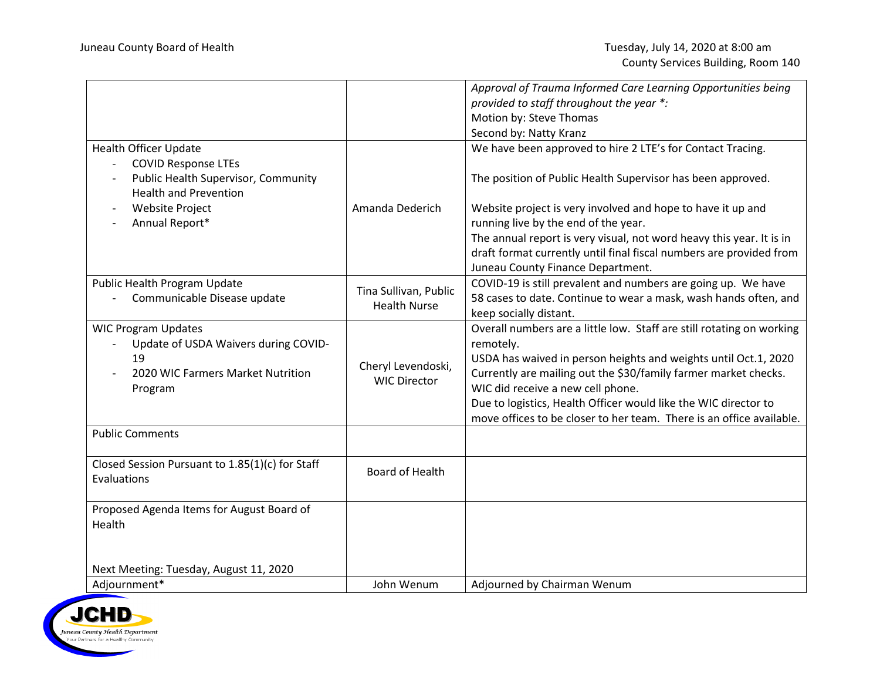|                                                                                                                          |                                              | Approval of Trauma Informed Care Learning Opportunities being                                                                                                                                                                                                                                                                                                                                            |
|--------------------------------------------------------------------------------------------------------------------------|----------------------------------------------|----------------------------------------------------------------------------------------------------------------------------------------------------------------------------------------------------------------------------------------------------------------------------------------------------------------------------------------------------------------------------------------------------------|
|                                                                                                                          |                                              | provided to staff throughout the year *:                                                                                                                                                                                                                                                                                                                                                                 |
|                                                                                                                          |                                              | Motion by: Steve Thomas                                                                                                                                                                                                                                                                                                                                                                                  |
|                                                                                                                          |                                              | Second by: Natty Kranz                                                                                                                                                                                                                                                                                                                                                                                   |
| <b>Health Officer Update</b><br><b>COVID Response LTEs</b>                                                               |                                              | We have been approved to hire 2 LTE's for Contact Tracing.                                                                                                                                                                                                                                                                                                                                               |
| Public Health Supervisor, Community<br><b>Health and Prevention</b>                                                      |                                              | The position of Public Health Supervisor has been approved.                                                                                                                                                                                                                                                                                                                                              |
| <b>Website Project</b><br>Annual Report*                                                                                 | Amanda Dederich                              | Website project is very involved and hope to have it up and<br>running live by the end of the year.                                                                                                                                                                                                                                                                                                      |
|                                                                                                                          |                                              | The annual report is very visual, not word heavy this year. It is in<br>draft format currently until final fiscal numbers are provided from<br>Juneau County Finance Department.                                                                                                                                                                                                                         |
| Public Health Program Update<br>Communicable Disease update                                                              | Tina Sullivan, Public<br><b>Health Nurse</b> | COVID-19 is still prevalent and numbers are going up. We have<br>58 cases to date. Continue to wear a mask, wash hands often, and<br>keep socially distant.                                                                                                                                                                                                                                              |
| <b>WIC Program Updates</b><br>Update of USDA Waivers during COVID-<br>19<br>2020 WIC Farmers Market Nutrition<br>Program | Cheryl Levendoski,<br><b>WIC Director</b>    | Overall numbers are a little low. Staff are still rotating on working<br>remotely.<br>USDA has waived in person heights and weights until Oct.1, 2020<br>Currently are mailing out the \$30/family farmer market checks.<br>WIC did receive a new cell phone.<br>Due to logistics, Health Officer would like the WIC director to<br>move offices to be closer to her team. There is an office available. |
| <b>Public Comments</b>                                                                                                   |                                              |                                                                                                                                                                                                                                                                                                                                                                                                          |
| Closed Session Pursuant to 1.85(1)(c) for Staff<br>Evaluations                                                           | <b>Board of Health</b>                       |                                                                                                                                                                                                                                                                                                                                                                                                          |
| Proposed Agenda Items for August Board of<br>Health                                                                      |                                              |                                                                                                                                                                                                                                                                                                                                                                                                          |
| Next Meeting: Tuesday, August 11, 2020                                                                                   |                                              |                                                                                                                                                                                                                                                                                                                                                                                                          |
| Adjournment*                                                                                                             | John Wenum                                   | Adjourned by Chairman Wenum                                                                                                                                                                                                                                                                                                                                                                              |